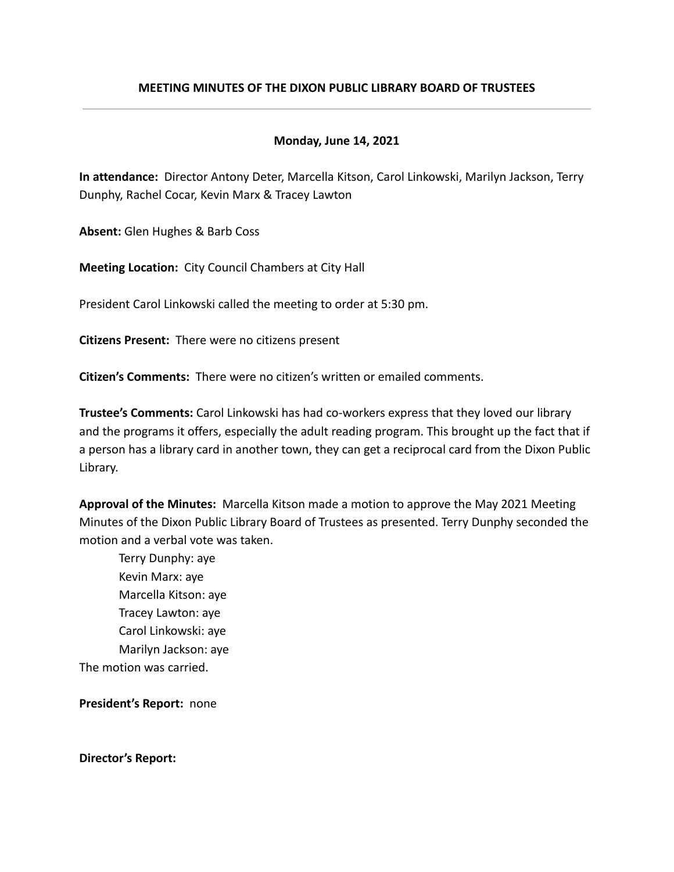# **MEETING MINUTES OF THE DIXON PUBLIC LIBRARY BOARD OF TRUSTEES**

# **Monday, June 14, 2021**

**In attendance:** Director Antony Deter, Marcella Kitson, Carol Linkowski, Marilyn Jackson, Terry Dunphy, Rachel Cocar, Kevin Marx & Tracey Lawton

**Absent:** Glen Hughes & Barb Coss

**Meeting Location:** City Council Chambers at City Hall

President Carol Linkowski called the meeting to order at 5:30 pm.

**Citizens Present:** There were no citizens present

**Citizen's Comments:** There were no citizen's written or emailed comments.

**Trustee's Comments:** Carol Linkowski has had co-workers express that they loved our library and the programs it offers, especially the adult reading program. This brought up the fact that if a person has a library card in another town, they can get a reciprocal card from the Dixon Public Library.

**Approval of the Minutes:** Marcella Kitson made a motion to approve the May 2021 Meeting Minutes of the Dixon Public Library Board of Trustees as presented. Terry Dunphy seconded the motion and a verbal vote was taken.

Terry Dunphy: aye Kevin Marx: aye Marcella Kitson: aye Tracey Lawton: aye Carol Linkowski: aye Marilyn Jackson: aye The motion was carried.

**President's Report:** none

**Director's Report:**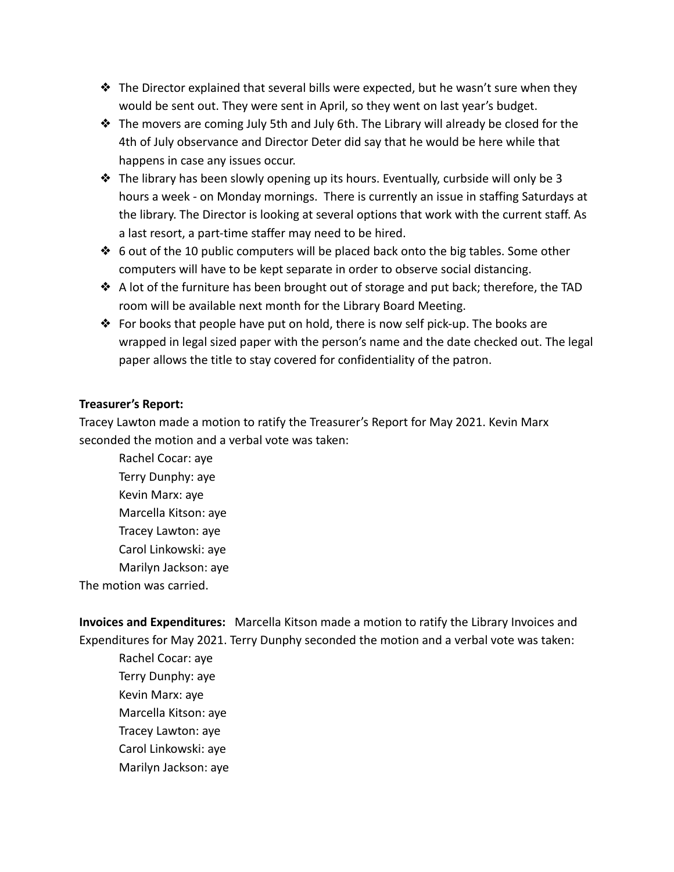- ❖ The Director explained that several bills were expected, but he wasn't sure when they would be sent out. They were sent in April, so they went on last year's budget.
- ❖ The movers are coming July 5th and July 6th. The Library will already be closed for the 4th of July observance and Director Deter did say that he would be here while that happens in case any issues occur.
- ❖ The library has been slowly opening up its hours. Eventually, curbside will only be 3 hours a week - on Monday mornings. There is currently an issue in staffing Saturdays at the library. The Director is looking at several options that work with the current staff. As a last resort, a part-time staffer may need to be hired.
- ❖ 6 out of the 10 public computers will be placed back onto the big tables. Some other computers will have to be kept separate in order to observe social distancing.
- ❖ A lot of the furniture has been brought out of storage and put back; therefore, the TAD room will be available next month for the Library Board Meeting.
- ❖ For books that people have put on hold, there is now self pick-up. The books are wrapped in legal sized paper with the person's name and the date checked out. The legal paper allows the title to stay covered for confidentiality of the patron.

# **Treasurer's Report:**

Tracey Lawton made a motion to ratify the Treasurer's Report for May 2021. Kevin Marx seconded the motion and a verbal vote was taken:

Rachel Cocar: aye Terry Dunphy: aye Kevin Marx: aye Marcella Kitson: aye Tracey Lawton: aye Carol Linkowski: aye Marilyn Jackson: aye The motion was carried.

**Invoices and Expenditures:** Marcella Kitson made a motion to ratify the Library Invoices and Expenditures for May 2021. Terry Dunphy seconded the motion and a verbal vote was taken:

Rachel Cocar: aye Terry Dunphy: aye Kevin Marx: aye Marcella Kitson: aye Tracey Lawton: aye Carol Linkowski: aye Marilyn Jackson: aye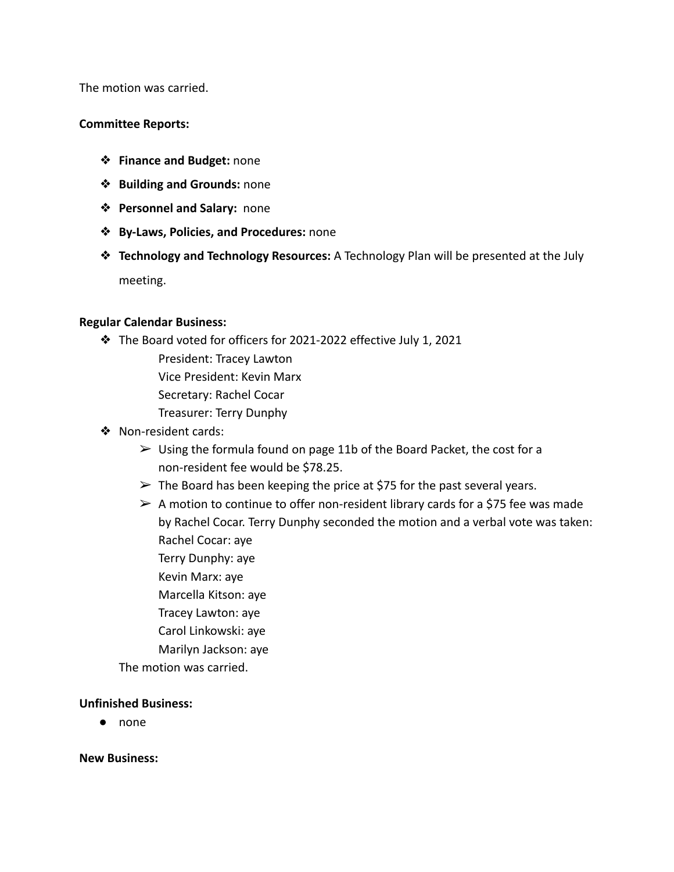The motion was carried.

### **Committee Reports:**

- ❖ **Finance and Budget:** none
- ❖ **Building and Grounds:** none
- ❖ **Personnel and Salary:** none
- ❖ **By-Laws, Policies, and Procedures:** none
- ❖ **Technology and Technology Resources:** A Technology Plan will be presented at the July meeting.

### **Regular Calendar Business:**

- ❖ The Board voted for officers for 2021-2022 effective July 1, 2021
	- President: Tracey Lawton Vice President: Kevin Marx
	- Secretary: Rachel Cocar
	- Treasurer: Terry Dunphy
- ❖ Non-resident cards:
	- $\triangleright$  Using the formula found on page 11b of the Board Packet, the cost for a non-resident fee would be \$78.25.
	- $\triangleright$  The Board has been keeping the price at \$75 for the past several years.
	- $\triangleright$  A motion to continue to offer non-resident library cards for a \$75 fee was made by Rachel Cocar. Terry Dunphy seconded the motion and a verbal vote was taken: Rachel Cocar: aye
		- Terry Dunphy: aye
		- Kevin Marx: aye
		- Marcella Kitson: aye
		- Tracey Lawton: aye
		- Carol Linkowski: aye
		- Marilyn Jackson: aye

The motion was carried.

### **Unfinished Business:**

● none

**New Business:**